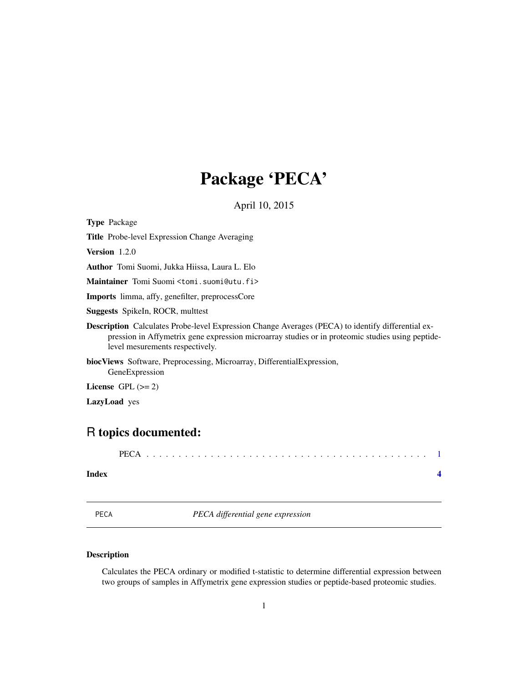# Package 'PECA'

April 10, 2015

<span id="page-0-0"></span>Type Package

Title Probe-level Expression Change Averaging

Version 1.2.0

Author Tomi Suomi, Jukka Hiissa, Laura L. Elo

Maintainer Tomi Suomi <tomi.suomi@utu.fi>

Imports limma, affy, genefilter, preprocessCore

Suggests SpikeIn, ROCR, multtest

Description Calculates Probe-level Expression Change Averages (PECA) to identify differential expression in Affymetrix gene expression microarray studies or in proteomic studies using peptidelevel mesurements respectively.

biocViews Software, Preprocessing, Microarray, DifferentialExpression, GeneExpression

License GPL  $(>= 2)$ 

LazyLoad yes

## R topics documented:

PECA . . . . . . . . . . . . . . . . . . . . . . . . . . . . . . . . . . . . . . . . . . . . [1](#page-0-0)

#### **Index** [4](#page-3-0)

PECA *PECA differential gene expression*

#### Description

Calculates the PECA ordinary or modified t-statistic to determine differential expression between two groups of samples in Affymetrix gene expression studies or peptide-based proteomic studies.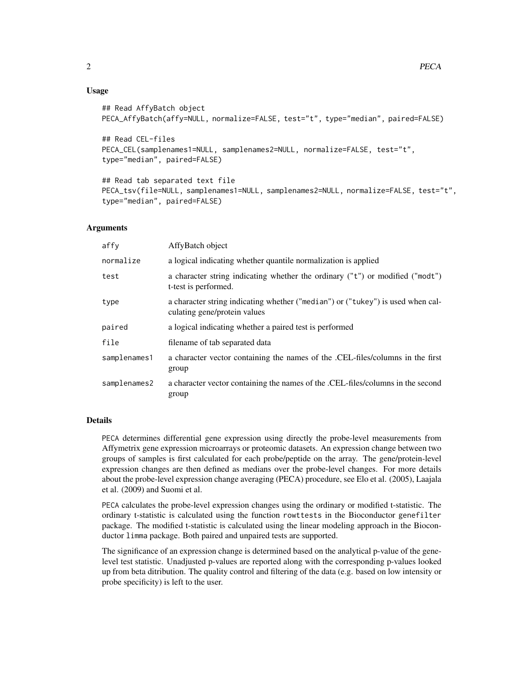#### Usage

```
## Read AffyBatch object
PECA_AffyBatch(affy=NULL, normalize=FALSE, test="t", type="median", paired=FALSE)
```

```
## Read CEL-files
PECA_CEL(samplenames1=NULL, samplenames2=NULL, normalize=FALSE, test="t",
type="median", paired=FALSE)
```
## Read tab separated text file PECA\_tsv(file=NULL, samplenames1=NULL, samplenames2=NULL, normalize=FALSE, test="t", type="median", paired=FALSE)

#### Arguments

| affy         | AffyBatch object                                                                                                |
|--------------|-----------------------------------------------------------------------------------------------------------------|
| normalize    | a logical indicating whether quantile normalization is applied                                                  |
| test         | a character string indicating whether the ordinary ("t") or modified ("modt")<br>t-test is performed.           |
| type         | a character string indicating whether ("median") or ("tukey") is used when cal-<br>culating gene/protein values |
| paired       | a logical indicating whether a paired test is performed                                                         |
| file         | filename of tab separated data                                                                                  |
| samplenames1 | a character vector containing the names of the .CEL-files/columns in the first<br>group                         |
| samplenames2 | a character vector containing the names of the .CEL-files/columns in the second<br>group                        |

#### Details

PECA determines differential gene expression using directly the probe-level measurements from Affymetrix gene expression microarrays or proteomic datasets. An expression change between two groups of samples is first calculated for each probe/peptide on the array. The gene/protein-level expression changes are then defined as medians over the probe-level changes. For more details about the probe-level expression change averaging (PECA) procedure, see Elo et al. (2005), Laajala et al. (2009) and Suomi et al.

PECA calculates the probe-level expression changes using the ordinary or modified t-statistic. The ordinary t-statistic is calculated using the function rowttests in the Bioconductor genefilter package. The modified t-statistic is calculated using the linear modeling approach in the Bioconductor limma package. Both paired and unpaired tests are supported.

The significance of an expression change is determined based on the analytical p-value of the genelevel test statistic. Unadjusted p-values are reported along with the corresponding p-values looked up from beta ditribution. The quality control and filtering of the data (e.g. based on low intensity or probe specificity) is left to the user.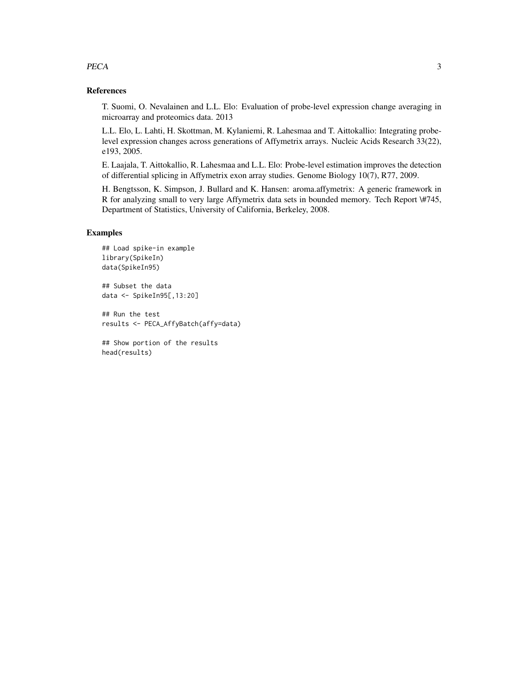#### PECA 3

#### References

T. Suomi, O. Nevalainen and L.L. Elo: Evaluation of probe-level expression change averaging in microarray and proteomics data. 2013

L.L. Elo, L. Lahti, H. Skottman, M. Kylaniemi, R. Lahesmaa and T. Aittokallio: Integrating probelevel expression changes across generations of Affymetrix arrays. Nucleic Acids Research 33(22), e193, 2005.

E. Laajala, T. Aittokallio, R. Lahesmaa and L.L. Elo: Probe-level estimation improves the detection of differential splicing in Affymetrix exon array studies. Genome Biology 10(7), R77, 2009.

H. Bengtsson, K. Simpson, J. Bullard and K. Hansen: aroma.affymetrix: A generic framework in R for analyzing small to very large Affymetrix data sets in bounded memory. Tech Report \#745, Department of Statistics, University of California, Berkeley, 2008.

#### Examples

```
## Load spike-in example
library(SpikeIn)
data(SpikeIn95)
## Subset the data
data <- SpikeIn95[,13:20]
## Run the test
results <- PECA_AffyBatch(affy=data)
## Show portion of the results
```
head(results)